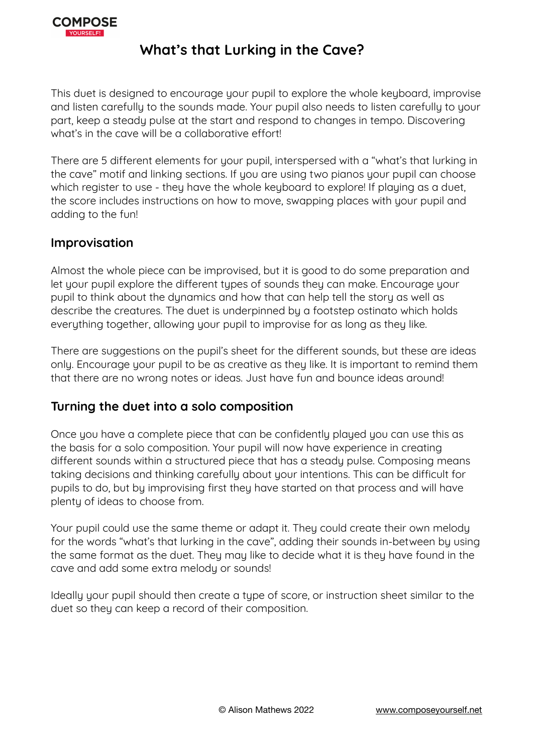

### **What's that Lurking in the Cave?**

This duet is designed to encourage your pupil to explore the whole keyboard, improvise and listen carefully to the sounds made. Your pupil also needs to listen carefully to your part, keep a steady pulse at the start and respond to changes in tempo. Discovering what's in the cave will be a collaborative effort!

There are 5 different elements for your pupil, interspersed with a "what's that lurking in the cave" motif and linking sections. If you are using two pianos your pupil can choose which register to use - they have the whole keyboard to explore! If playing as a duet, the score includes instructions on how to move, swapping places with your pupil and adding to the fun!

#### **Improvisation**

Almost the whole piece can be improvised, but it is good to do some preparation and let your pupil explore the different types of sounds they can make. Encourage your pupil to think about the dynamics and how that can help tell the story as well as describe the creatures. The duet is underpinned by a footstep ostinato which holds everything together, allowing your pupil to improvise for as long as they like.

There are suggestions on the pupil's sheet for the different sounds, but these are ideas only. Encourage your pupil to be as creative as they like. It is important to remind them that there are no wrong notes or ideas. Just have fun and bounce ideas around!

#### **Turning the duet into a solo composition**

Once you have a complete piece that can be confidently played you can use this as the basis for a solo composition. Your pupil will now have experience in creating different sounds within a structured piece that has a steady pulse. Composing means taking decisions and thinking carefully about your intentions. This can be difficult for pupils to do, but by improvising first they have started on that process and will have plenty of ideas to choose from.

Your pupil could use the same theme or adapt it. They could create their own melody for the words "what's that lurking in the cave", adding their sounds in-between by using the same format as the duet. They may like to decide what it is they have found in the cave and add some extra melody or sounds!

Ideally your pupil should then create a type of score, or instruction sheet similar to the duet so they can keep a record of their composition.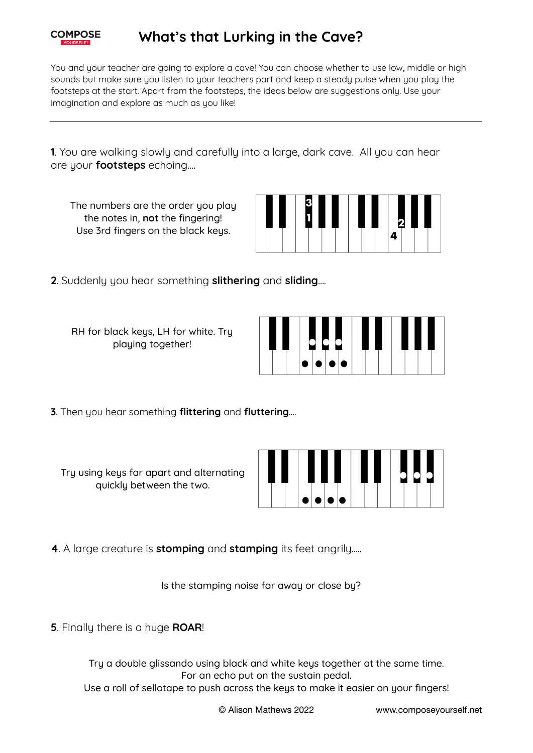

## **What's that Lurking in the Cave?**

You and your teacher are going to explore a cave! You can choose whether to use low, middle or high sounds but make sure you listen to your teachers part and keep a steady pulse when you play the footsteps at the start. Apart from the footsteps, the ideas below are suggestions only. Use your imagination and explore as much as you like!

**1**. You are walking slowly and carefully into a large, dark cave. All you can hear are your **footsteps** echoing….

The numbers are the order you play the notes in, **not** the fingering! Use 3rd fingers on the black keys.



**2**. Suddenly you hear something **slithering** and **sliding**….

RH for black keys, LH for white. Try playing together!



**3**. Then you hear something **flittering** and **fluttering**….

Try using keys far apart and alternating quickly between the two.



**4**. A large creature is **stomping** and **stamping** its feet angrily…..

Is the stamping noise far away or close by?

**5**. Finally there is a huge **ROAR**!

Try a double glissando using black and white keys together at the same time. For an echo put on the sustain pedal.

Use a roll of sellotape to push across the keys to make it easier on your fingers!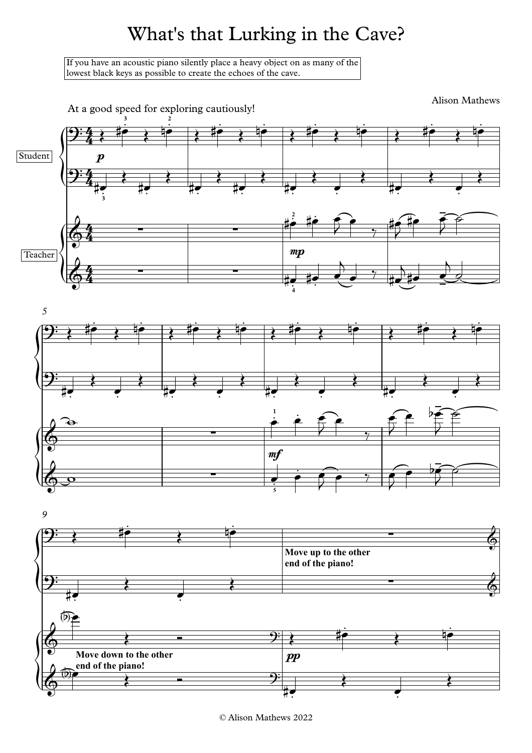# What's that Lurking in the Cave?

If you have an acoustic piano silently place a heavy object on as many of the lowest black keys as possible to create the echoes of the cave.



<sup>©</sup> Alison Mathews 2022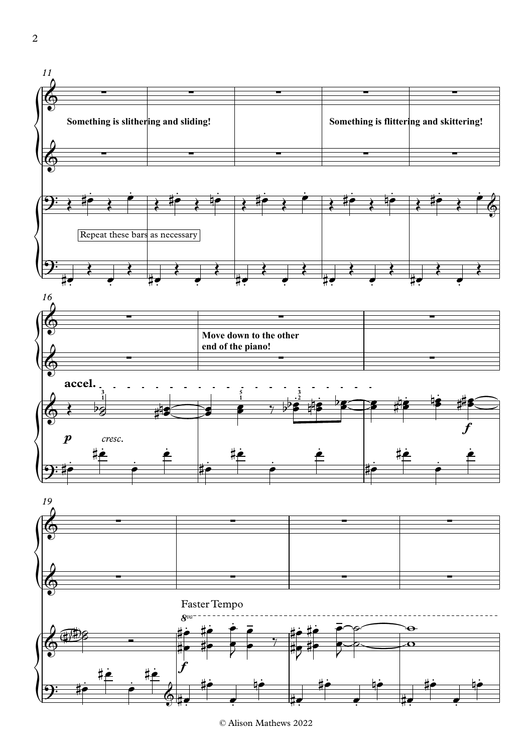

© Alison Mathews 2022